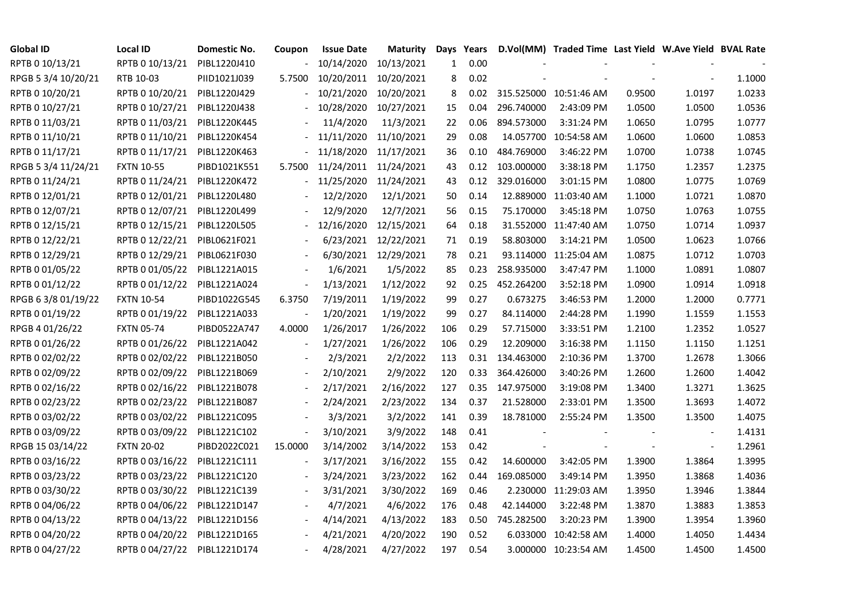| <b>Global ID</b>    | <b>Local ID</b>   | Domestic No. | Coupon                   | <b>Issue Date</b>     | <b>Maturity</b>      | Days | Years |            | D.Vol(MM) Traded Time Last Yield W.Ave Yield BVAL Rate |        |        |        |
|---------------------|-------------------|--------------|--------------------------|-----------------------|----------------------|------|-------|------------|--------------------------------------------------------|--------|--------|--------|
| RPTB 0 10/13/21     | RPTB 0 10/13/21   | PIBL1220J410 |                          | 10/14/2020            | 10/13/2021           | 1    | 0.00  |            |                                                        |        |        |        |
| RPGB 5 3/4 10/20/21 | RTB 10-03         | PIID1021J039 | 5.7500                   | 10/20/2011            | 10/20/2021           | 8    | 0.02  |            |                                                        |        |        | 1.1000 |
| RPTB 0 10/20/21     | RPTB 0 10/20/21   | PIBL1220J429 |                          | 10/21/2020            | 10/20/2021           | 8    | 0.02  |            | 315.525000 10:51:46 AM                                 | 0.9500 | 1.0197 | 1.0233 |
| RPTB 0 10/27/21     | RPTB 0 10/27/21   | PIBL1220J438 |                          | 10/28/2020            | 10/27/2021           | 15   | 0.04  | 296.740000 | 2:43:09 PM                                             | 1.0500 | 1.0500 | 1.0536 |
| RPTB 0 11/03/21     | RPTB 0 11/03/21   | PIBL1220K445 |                          | 11/4/2020             | 11/3/2021            | 22   | 0.06  | 894.573000 | 3:31:24 PM                                             | 1.0650 | 1.0795 | 1.0777 |
| RPTB 0 11/10/21     | RPTB 0 11/10/21   | PIBL1220K454 |                          | 11/11/2020            | 11/10/2021           | 29   | 0.08  |            | 14.057700 10:54:58 AM                                  | 1.0600 | 1.0600 | 1.0853 |
| RPTB 0 11/17/21     | RPTB 0 11/17/21   | PIBL1220K463 |                          | 11/18/2020 11/17/2021 |                      | 36   | 0.10  | 484.769000 | 3:46:22 PM                                             | 1.0700 | 1.0738 | 1.0745 |
| RPGB 5 3/4 11/24/21 | <b>FXTN 10-55</b> | PIBD1021K551 | 5.7500                   | 11/24/2011 11/24/2021 |                      | 43   | 0.12  | 103.000000 | 3:38:18 PM                                             | 1.1750 | 1.2357 | 1.2375 |
| RPTB 0 11/24/21     | RPTB 0 11/24/21   | PIBL1220K472 |                          | 11/25/2020            | 11/24/2021           | 43   | 0.12  | 329.016000 | 3:01:15 PM                                             | 1.0800 | 1.0775 | 1.0769 |
| RPTB 0 12/01/21     | RPTB 0 12/01/21   | PIBL1220L480 |                          | 12/2/2020             | 12/1/2021            | 50   | 0.14  |            | 12.889000 11:03:40 AM                                  | 1.1000 | 1.0721 | 1.0870 |
| RPTB 0 12/07/21     | RPTB 0 12/07/21   | PIBL1220L499 |                          | 12/9/2020             | 12/7/2021            | 56   | 0.15  | 75.170000  | 3:45:18 PM                                             | 1.0750 | 1.0763 | 1.0755 |
| RPTB 0 12/15/21     | RPTB 0 12/15/21   | PIBL1220L505 |                          | 12/16/2020            | 12/15/2021           | 64   | 0.18  |            | 31.552000 11:47:40 AM                                  | 1.0750 | 1.0714 | 1.0937 |
| RPTB 0 12/22/21     | RPTB 0 12/22/21   | PIBL0621F021 |                          | 6/23/2021             | 12/22/2021           | 71   | 0.19  | 58.803000  | 3:14:21 PM                                             | 1.0500 | 1.0623 | 1.0766 |
| RPTB 0 12/29/21     | RPTB 0 12/29/21   | PIBL0621F030 |                          |                       | 6/30/2021 12/29/2021 | 78   | 0.21  |            | 93.114000 11:25:04 AM                                  | 1.0875 | 1.0712 | 1.0703 |
| RPTB 0 01/05/22     | RPTB 0 01/05/22   | PIBL1221A015 |                          | 1/6/2021              | 1/5/2022             | 85   | 0.23  | 258.935000 | 3:47:47 PM                                             | 1.1000 | 1.0891 | 1.0807 |
| RPTB 0 01/12/22     | RPTB 0 01/12/22   | PIBL1221A024 |                          | 1/13/2021             | 1/12/2022            | 92   | 0.25  | 452.264200 | 3:52:18 PM                                             | 1.0900 | 1.0914 | 1.0918 |
| RPGB 63/8 01/19/22  | <b>FXTN 10-54</b> | PIBD1022G545 | 6.3750                   | 7/19/2011             | 1/19/2022            | 99   | 0.27  | 0.673275   | 3:46:53 PM                                             | 1.2000 | 1.2000 | 0.7771 |
| RPTB 0 01/19/22     | RPTB 0 01/19/22   | PIBL1221A033 |                          | 1/20/2021             | 1/19/2022            | 99   | 0.27  | 84.114000  | 2:44:28 PM                                             | 1.1990 | 1.1559 | 1.1553 |
| RPGB 4 01/26/22     | <b>FXTN 05-74</b> | PIBD0522A747 | 4.0000                   | 1/26/2017             | 1/26/2022            | 106  | 0.29  | 57.715000  | 3:33:51 PM                                             | 1.2100 | 1.2352 | 1.0527 |
| RPTB 0 01/26/22     | RPTB 0 01/26/22   | PIBL1221A042 | $\sim$                   | 1/27/2021             | 1/26/2022            | 106  | 0.29  | 12.209000  | 3:16:38 PM                                             | 1.1150 | 1.1150 | 1.1251 |
| RPTB 0 02/02/22     | RPTB 0 02/02/22   | PIBL1221B050 |                          | 2/3/2021              | 2/2/2022             | 113  | 0.31  | 134.463000 | 2:10:36 PM                                             | 1.3700 | 1.2678 | 1.3066 |
| RPTB 0 02/09/22     | RPTB 0 02/09/22   | PIBL1221B069 |                          | 2/10/2021             | 2/9/2022             | 120  | 0.33  | 364.426000 | 3:40:26 PM                                             | 1.2600 | 1.2600 | 1.4042 |
| RPTB 0 02/16/22     | RPTB 0 02/16/22   | PIBL1221B078 |                          | 2/17/2021             | 2/16/2022            | 127  | 0.35  | 147.975000 | 3:19:08 PM                                             | 1.3400 | 1.3271 | 1.3625 |
| RPTB 0 02/23/22     | RPTB 0 02/23/22   | PIBL1221B087 | $\overline{\phantom{a}}$ | 2/24/2021             | 2/23/2022            | 134  | 0.37  | 21.528000  | 2:33:01 PM                                             | 1.3500 | 1.3693 | 1.4072 |
| RPTB 0 03/02/22     | RPTB 0 03/02/22   | PIBL1221C095 |                          | 3/3/2021              | 3/2/2022             | 141  | 0.39  | 18.781000  | 2:55:24 PM                                             | 1.3500 | 1.3500 | 1.4075 |
| RPTB 0 03/09/22     | RPTB 0 03/09/22   | PIBL1221C102 | $\overline{\phantom{a}}$ | 3/10/2021             | 3/9/2022             | 148  | 0.41  |            |                                                        |        |        | 1.4131 |
| RPGB 15 03/14/22    | <b>FXTN 20-02</b> | PIBD2022C021 | 15.0000                  | 3/14/2002             | 3/14/2022            | 153  | 0.42  |            |                                                        |        |        | 1.2961 |
| RPTB 0 03/16/22     | RPTB 0 03/16/22   | PIBL1221C111 | $\overline{\phantom{a}}$ | 3/17/2021             | 3/16/2022            | 155  | 0.42  | 14.600000  | 3:42:05 PM                                             | 1.3900 | 1.3864 | 1.3995 |
| RPTB 0 03/23/22     | RPTB 0 03/23/22   | PIBL1221C120 |                          | 3/24/2021             | 3/23/2022            | 162  | 0.44  | 169.085000 | 3:49:14 PM                                             | 1.3950 | 1.3868 | 1.4036 |
| RPTB 0 03/30/22     | RPTB 0 03/30/22   | PIBL1221C139 |                          | 3/31/2021             | 3/30/2022            | 169  | 0.46  |            | 2.230000 11:29:03 AM                                   | 1.3950 | 1.3946 | 1.3844 |
| RPTB 0 04/06/22     | RPTB 0 04/06/22   | PIBL1221D147 |                          | 4/7/2021              | 4/6/2022             | 176  | 0.48  | 42.144000  | 3:22:48 PM                                             | 1.3870 | 1.3883 | 1.3853 |
| RPTB 0 04/13/22     | RPTB 0 04/13/22   | PIBL1221D156 |                          | 4/14/2021             | 4/13/2022            | 183  | 0.50  | 745.282500 | 3:20:23 PM                                             | 1.3900 | 1.3954 | 1.3960 |
| RPTB 0 04/20/22     | RPTB 0 04/20/22   | PIBL1221D165 |                          | 4/21/2021             | 4/20/2022            | 190  | 0.52  |            | 6.033000 10:42:58 AM                                   | 1.4000 | 1.4050 | 1.4434 |
| RPTB 0 04/27/22     | RPTB 0 04/27/22   | PIBL1221D174 |                          | 4/28/2021             | 4/27/2022            | 197  | 0.54  |            | 3.000000 10:23:54 AM                                   | 1.4500 | 1.4500 | 1.4500 |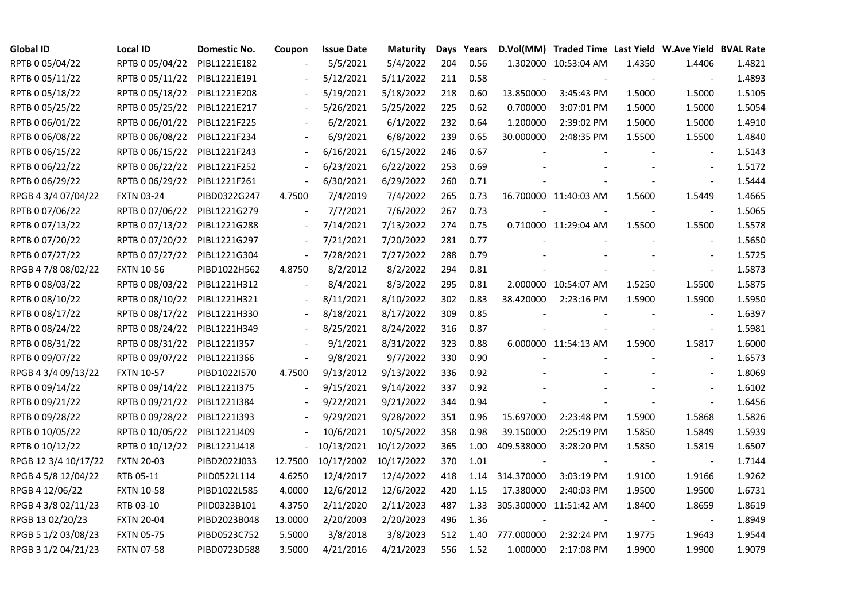| <b>Global ID</b>     | <b>Local ID</b>   | Domestic No. | Coupon                   | <b>Issue Date</b> | <b>Maturity</b>       |     | Days Years |                          | D.Vol(MM) Traded Time Last Yield W.Ave Yield BVAL Rate |        |                          |        |
|----------------------|-------------------|--------------|--------------------------|-------------------|-----------------------|-----|------------|--------------------------|--------------------------------------------------------|--------|--------------------------|--------|
| RPTB 0 05/04/22      | RPTB 0 05/04/22   | PIBL1221E182 |                          | 5/5/2021          | 5/4/2022              | 204 | 0.56       |                          | 1.302000 10:53:04 AM                                   | 1.4350 | 1.4406                   | 1.4821 |
| RPTB 0 05/11/22      | RPTB 0 05/11/22   | PIBL1221E191 |                          | 5/12/2021         | 5/11/2022             | 211 | 0.58       |                          |                                                        |        |                          | 1.4893 |
| RPTB 0 05/18/22      | RPTB 0 05/18/22   | PIBL1221E208 | $\overline{\phantom{a}}$ | 5/19/2021         | 5/18/2022             | 218 | 0.60       | 13.850000                | 3:45:43 PM                                             | 1.5000 | 1.5000                   | 1.5105 |
| RPTB 0 05/25/22      | RPTB 0 05/25/22   | PIBL1221E217 | $\sim$                   | 5/26/2021         | 5/25/2022             | 225 | 0.62       | 0.700000                 | 3:07:01 PM                                             | 1.5000 | 1.5000                   | 1.5054 |
| RPTB 0 06/01/22      | RPTB 0 06/01/22   | PIBL1221F225 |                          | 6/2/2021          | 6/1/2022              | 232 | 0.64       | 1.200000                 | 2:39:02 PM                                             | 1.5000 | 1.5000                   | 1.4910 |
| RPTB 0 06/08/22      | RPTB 0 06/08/22   | PIBL1221F234 |                          | 6/9/2021          | 6/8/2022              | 239 | 0.65       | 30.000000                | 2:48:35 PM                                             | 1.5500 | 1.5500                   | 1.4840 |
| RPTB 0 06/15/22      | RPTB 0 06/15/22   | PIBL1221F243 |                          | 6/16/2021         | 6/15/2022             | 246 | 0.67       |                          |                                                        |        | $\overline{\phantom{a}}$ | 1.5143 |
| RPTB 0 06/22/22      | RPTB 0 06/22/22   | PIBL1221F252 |                          | 6/23/2021         | 6/22/2022             | 253 | 0.69       |                          |                                                        |        | $\blacksquare$           | 1.5172 |
| RPTB 0 06/29/22      | RPTB 0 06/29/22   | PIBL1221F261 | $\overline{\phantom{a}}$ | 6/30/2021         | 6/29/2022             | 260 | 0.71       |                          |                                                        |        |                          | 1.5444 |
| RPGB 4 3/4 07/04/22  | <b>FXTN 03-24</b> | PIBD0322G247 | 4.7500                   | 7/4/2019          | 7/4/2022              | 265 | 0.73       |                          | 16.700000 11:40:03 AM                                  | 1.5600 | 1.5449                   | 1.4665 |
| RPTB 0 07/06/22      | RPTB 0 07/06/22   | PIBL1221G279 | $\overline{\phantom{a}}$ | 7/7/2021          | 7/6/2022              | 267 | 0.73       |                          |                                                        |        | $\overline{\phantom{a}}$ | 1.5065 |
| RPTB 0 07/13/22      | RPTB 0 07/13/22   | PIBL1221G288 | $\overline{\phantom{a}}$ | 7/14/2021         | 7/13/2022             | 274 | 0.75       |                          | 0.710000 11:29:04 AM                                   | 1.5500 | 1.5500                   | 1.5578 |
| RPTB 0 07/20/22      | RPTB 0 07/20/22   | PIBL1221G297 |                          | 7/21/2021         | 7/20/2022             | 281 | 0.77       |                          |                                                        |        | $\blacksquare$           | 1.5650 |
| RPTB 0 07/27/22      | RPTB 0 07/27/22   | PIBL1221G304 | $\overline{\phantom{a}}$ | 7/28/2021         | 7/27/2022             | 288 | 0.79       |                          |                                                        |        | $\blacksquare$           | 1.5725 |
| RPGB 4 7/8 08/02/22  | <b>FXTN 10-56</b> | PIBD1022H562 | 4.8750                   | 8/2/2012          | 8/2/2022              | 294 | 0.81       |                          |                                                        |        | $\blacksquare$           | 1.5873 |
| RPTB 0 08/03/22      | RPTB 0 08/03/22   | PIBL1221H312 |                          | 8/4/2021          | 8/3/2022              | 295 | 0.81       |                          | 2.000000 10:54:07 AM                                   | 1.5250 | 1.5500                   | 1.5875 |
| RPTB 0 08/10/22      | RPTB 0 08/10/22   | PIBL1221H321 | $\overline{\phantom{a}}$ | 8/11/2021         | 8/10/2022             | 302 | 0.83       | 38.420000                | 2:23:16 PM                                             | 1.5900 | 1.5900                   | 1.5950 |
| RPTB 0 08/17/22      | RPTB 0 08/17/22   | PIBL1221H330 | $\overline{\phantom{a}}$ | 8/18/2021         | 8/17/2022             | 309 | 0.85       |                          |                                                        |        | $\blacksquare$           | 1.6397 |
| RPTB 0 08/24/22      | RPTB 0 08/24/22   | PIBL1221H349 | $\sim$                   | 8/25/2021         | 8/24/2022             | 316 | 0.87       |                          |                                                        |        | $\overline{\phantom{a}}$ | 1.5981 |
| RPTB 0 08/31/22      | RPTB 0 08/31/22   | PIBL1221I357 |                          | 9/1/2021          | 8/31/2022             | 323 | 0.88       |                          | 6.000000 11:54:13 AM                                   | 1.5900 | 1.5817                   | 1.6000 |
| RPTB 0 09/07/22      | RPTB 0 09/07/22   | PIBL1221I366 | $\sim$                   | 9/8/2021          | 9/7/2022              | 330 | 0.90       |                          |                                                        |        | $\blacksquare$           | 1.6573 |
| RPGB 4 3/4 09/13/22  | <b>FXTN 10-57</b> | PIBD1022I570 | 4.7500                   | 9/13/2012         | 9/13/2022             | 336 | 0.92       |                          |                                                        |        |                          | 1.8069 |
| RPTB 0 09/14/22      | RPTB 0 09/14/22   | PIBL1221I375 |                          | 9/15/2021         | 9/14/2022             | 337 | 0.92       |                          |                                                        |        |                          | 1.6102 |
| RPTB 0 09/21/22      | RPTB 0 09/21/22   | PIBL1221I384 | $\blacksquare$           | 9/22/2021         | 9/21/2022             | 344 | 0.94       |                          |                                                        |        | $\blacksquare$           | 1.6456 |
| RPTB 0 09/28/22      | RPTB 0 09/28/22   | PIBL1221I393 | $\overline{\phantom{a}}$ | 9/29/2021         | 9/28/2022             | 351 | 0.96       | 15.697000                | 2:23:48 PM                                             | 1.5900 | 1.5868                   | 1.5826 |
| RPTB 0 10/05/22      | RPTB 0 10/05/22   | PIBL1221J409 |                          | 10/6/2021         | 10/5/2022             | 358 | 0.98       | 39.150000                | 2:25:19 PM                                             | 1.5850 | 1.5849                   | 1.5939 |
| RPTB 0 10/12/22      | RPTB 0 10/12/22   | PIBL1221J418 | $\frac{1}{2}$            | 10/13/2021        | 10/12/2022            | 365 | 1.00       | 409.538000               | 3:28:20 PM                                             | 1.5850 | 1.5819                   | 1.6507 |
| RPGB 12 3/4 10/17/22 | <b>FXTN 20-03</b> | PIBD2022J033 | 12.7500                  |                   | 10/17/2002 10/17/2022 | 370 | 1.01       | $\overline{\phantom{a}}$ |                                                        |        | $\blacksquare$           | 1.7144 |
| RPGB 4 5/8 12/04/22  | RTB 05-11         | PIID0522L114 | 4.6250                   | 12/4/2017         | 12/4/2022             | 418 | 1.14       | 314.370000               | 3:03:19 PM                                             | 1.9100 | 1.9166                   | 1.9262 |
| RPGB 4 12/06/22      | <b>FXTN 10-58</b> | PIBD1022L585 | 4.0000                   | 12/6/2012         | 12/6/2022             | 420 | 1.15       | 17.380000                | 2:40:03 PM                                             | 1.9500 | 1.9500                   | 1.6731 |
| RPGB 4 3/8 02/11/23  | RTB 03-10         | PIID0323B101 | 4.3750                   | 2/11/2020         | 2/11/2023             | 487 | 1.33       |                          | 305.300000 11:51:42 AM                                 | 1.8400 | 1.8659                   | 1.8619 |
| RPGB 13 02/20/23     | <b>FXTN 20-04</b> | PIBD2023B048 | 13.0000                  | 2/20/2003         | 2/20/2023             | 496 | 1.36       |                          |                                                        |        |                          | 1.8949 |
| RPGB 5 1/2 03/08/23  | <b>FXTN 05-75</b> | PIBD0523C752 | 5.5000                   | 3/8/2018          | 3/8/2023              | 512 | 1.40       | 777.000000               | 2:32:24 PM                                             | 1.9775 | 1.9643                   | 1.9544 |
| RPGB 3 1/2 04/21/23  | <b>FXTN 07-58</b> | PIBD0723D588 | 3.5000                   | 4/21/2016         | 4/21/2023             | 556 | 1.52       | 1.000000                 | 2:17:08 PM                                             | 1.9900 | 1.9900                   | 1.9079 |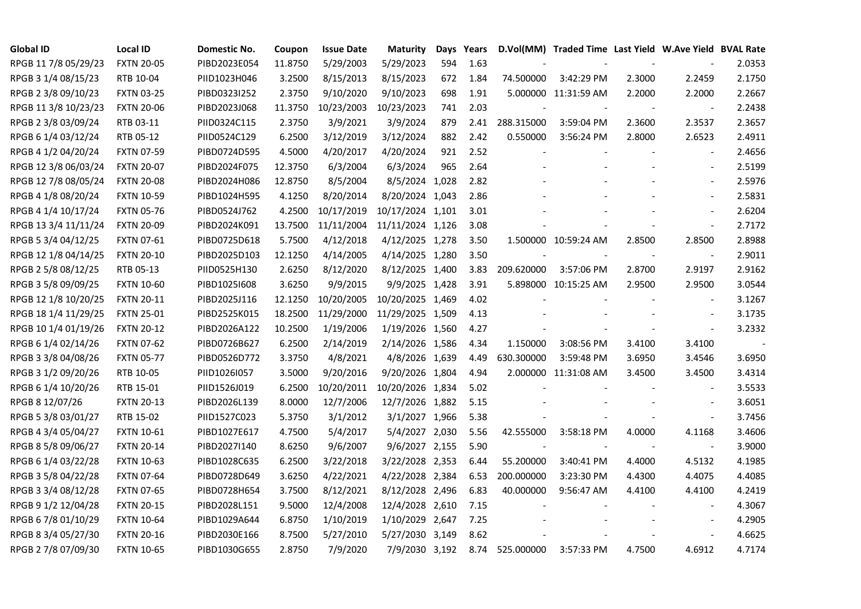| <b>Global ID</b>     | <b>Local ID</b>   | Domestic No. | Coupon  | <b>Issue Date</b> | <b>Maturity</b>  | Days | Years |            | D.Vol(MM) Traded Time Last Yield W.Ave Yield BVAL Rate |        |                          |        |
|----------------------|-------------------|--------------|---------|-------------------|------------------|------|-------|------------|--------------------------------------------------------|--------|--------------------------|--------|
| RPGB 11 7/8 05/29/23 | <b>FXTN 20-05</b> | PIBD2023E054 | 11.8750 | 5/29/2003         | 5/29/2023        | 594  | 1.63  |            |                                                        |        |                          | 2.0353 |
| RPGB 3 1/4 08/15/23  | RTB 10-04         | PIID1023H046 | 3.2500  | 8/15/2013         | 8/15/2023        | 672  | 1.84  | 74.500000  | 3:42:29 PM                                             | 2.3000 | 2.2459                   | 2.1750 |
| RPGB 2 3/8 09/10/23  | <b>FXTN 03-25</b> | PIBD0323I252 | 2.3750  | 9/10/2020         | 9/10/2023        | 698  | 1.91  |            | 5.000000 11:31:59 AM                                   | 2.2000 | 2.2000                   | 2.2667 |
| RPGB 11 3/8 10/23/23 | <b>FXTN 20-06</b> | PIBD2023J068 | 11.3750 | 10/23/2003        | 10/23/2023       | 741  | 2.03  |            |                                                        |        |                          | 2.2438 |
| RPGB 2 3/8 03/09/24  | RTB 03-11         | PIID0324C115 | 2.3750  | 3/9/2021          | 3/9/2024         | 879  | 2.41  | 288.315000 | 3:59:04 PM                                             | 2.3600 | 2.3537                   | 2.3657 |
| RPGB 6 1/4 03/12/24  | RTB 05-12         | PIID0524C129 | 6.2500  | 3/12/2019         | 3/12/2024        | 882  | 2.42  | 0.550000   | 3:56:24 PM                                             | 2.8000 | 2.6523                   | 2.4911 |
| RPGB 4 1/2 04/20/24  | <b>FXTN 07-59</b> | PIBD0724D595 | 4.5000  | 4/20/2017         | 4/20/2024        | 921  | 2.52  | $\sim$     |                                                        |        |                          | 2.4656 |
| RPGB 12 3/8 06/03/24 | <b>FXTN 20-07</b> | PIBD2024F075 | 12.3750 | 6/3/2004          | 6/3/2024         | 965  | 2.64  |            |                                                        |        |                          | 2.5199 |
| RPGB 12 7/8 08/05/24 | <b>FXTN 20-08</b> | PIBD2024H086 | 12.8750 | 8/5/2004          | 8/5/2024 1,028   |      | 2.82  |            |                                                        |        |                          | 2.5976 |
| RPGB 4 1/8 08/20/24  | <b>FXTN 10-59</b> | PIBD1024H595 | 4.1250  | 8/20/2014         | 8/20/2024 1,043  |      | 2.86  |            |                                                        |        | $\overline{\phantom{a}}$ | 2.5831 |
| RPGB 4 1/4 10/17/24  | <b>FXTN 05-76</b> | PIBD0524J762 | 4.2500  | 10/17/2019        | 10/17/2024 1,101 |      | 3.01  |            |                                                        |        | $\blacksquare$           | 2.6204 |
| RPGB 13 3/4 11/11/24 | <b>FXTN 20-09</b> | PIBD2024K091 | 13.7500 | 11/11/2004        | 11/11/2024 1,126 |      | 3.08  |            |                                                        |        | $\blacksquare$           | 2.7172 |
| RPGB 5 3/4 04/12/25  | FXTN 07-61        | PIBD0725D618 | 5.7500  | 4/12/2018         | 4/12/2025 1,278  |      | 3.50  |            | 1.500000 10:59:24 AM                                   | 2.8500 | 2.8500                   | 2.8988 |
| RPGB 12 1/8 04/14/25 | <b>FXTN 20-10</b> | PIBD2025D103 | 12.1250 | 4/14/2005         | 4/14/2025 1,280  |      | 3.50  |            |                                                        |        | $\blacksquare$           | 2.9011 |
| RPGB 2 5/8 08/12/25  | RTB 05-13         | PIID0525H130 | 2.6250  | 8/12/2020         | 8/12/2025 1,400  |      | 3.83  | 209.620000 | 3:57:06 PM                                             | 2.8700 | 2.9197                   | 2.9162 |
| RPGB 3 5/8 09/09/25  | <b>FXTN 10-60</b> | PIBD10251608 | 3.6250  | 9/9/2015          | 9/9/2025 1,428   |      | 3.91  |            | 5.898000 10:15:25 AM                                   | 2.9500 | 2.9500                   | 3.0544 |
| RPGB 12 1/8 10/20/25 | <b>FXTN 20-11</b> | PIBD2025J116 | 12.1250 | 10/20/2005        | 10/20/2025 1,469 |      | 4.02  |            |                                                        |        |                          | 3.1267 |
| RPGB 18 1/4 11/29/25 | <b>FXTN 25-01</b> | PIBD2525K015 | 18.2500 | 11/29/2000        | 11/29/2025 1,509 |      | 4.13  |            |                                                        |        |                          | 3.1735 |
| RPGB 10 1/4 01/19/26 | <b>FXTN 20-12</b> | PIBD2026A122 | 10.2500 | 1/19/2006         | 1/19/2026 1,560  |      | 4.27  |            |                                                        |        | $\blacksquare$           | 3.2332 |
| RPGB 6 1/4 02/14/26  | <b>FXTN 07-62</b> | PIBD0726B627 | 6.2500  | 2/14/2019         | 2/14/2026 1,586  |      | 4.34  | 1.150000   | 3:08:56 PM                                             | 3.4100 | 3.4100                   |        |
| RPGB 3 3/8 04/08/26  | <b>FXTN 05-77</b> | PIBD0526D772 | 3.3750  | 4/8/2021          | 4/8/2026 1,639   |      | 4.49  | 630.300000 | 3:59:48 PM                                             | 3.6950 | 3.4546                   | 3.6950 |
| RPGB 3 1/2 09/20/26  | RTB 10-05         | PIID1026I057 | 3.5000  | 9/20/2016         | 9/20/2026 1,804  |      | 4.94  |            | 2.000000 11:31:08 AM                                   | 3.4500 | 3.4500                   | 3.4314 |
| RPGB 6 1/4 10/20/26  | RTB 15-01         | PIID1526J019 | 6.2500  | 10/20/2011        | 10/20/2026 1,834 |      | 5.02  |            |                                                        |        |                          | 3.5533 |
| RPGB 8 12/07/26      | <b>FXTN 20-13</b> | PIBD2026L139 | 8.0000  | 12/7/2006         | 12/7/2026 1,882  |      | 5.15  |            |                                                        |        |                          | 3.6051 |
| RPGB 5 3/8 03/01/27  | RTB 15-02         | PIID1527C023 | 5.3750  | 3/1/2012          | 3/1/2027 1,966   |      | 5.38  |            |                                                        |        | $\blacksquare$           | 3.7456 |
| RPGB 4 3/4 05/04/27  | <b>FXTN 10-61</b> | PIBD1027E617 | 4.7500  | 5/4/2017          | 5/4/2027 2,030   |      | 5.56  | 42.555000  | 3:58:18 PM                                             | 4.0000 | 4.1168                   | 3.4606 |
| RPGB 8 5/8 09/06/27  | <b>FXTN 20-14</b> | PIBD2027I140 | 8.6250  | 9/6/2007          | 9/6/2027 2,155   |      | 5.90  |            |                                                        |        | $\blacksquare$           | 3.9000 |
| RPGB 6 1/4 03/22/28  | <b>FXTN 10-63</b> | PIBD1028C635 | 6.2500  | 3/22/2018         | 3/22/2028 2,353  |      | 6.44  | 55.200000  | 3:40:41 PM                                             | 4.4000 | 4.5132                   | 4.1985 |
| RPGB 3 5/8 04/22/28  | <b>FXTN 07-64</b> | PIBD0728D649 | 3.6250  | 4/22/2021         | 4/22/2028 2,384  |      | 6.53  | 200.000000 | 3:23:30 PM                                             | 4.4300 | 4.4075                   | 4.4085 |
| RPGB 3 3/4 08/12/28  | <b>FXTN 07-65</b> | PIBD0728H654 | 3.7500  | 8/12/2021         | 8/12/2028 2,496  |      | 6.83  | 40.000000  | 9:56:47 AM                                             | 4.4100 | 4.4100                   | 4.2419 |
| RPGB 9 1/2 12/04/28  | <b>FXTN 20-15</b> | PIBD2028L151 | 9.5000  | 12/4/2008         | 12/4/2028 2,610  |      | 7.15  |            |                                                        |        |                          | 4.3067 |
| RPGB 67/8 01/10/29   | <b>FXTN 10-64</b> | PIBD1029A644 | 6.8750  | 1/10/2019         | 1/10/2029 2,647  |      | 7.25  |            |                                                        |        |                          | 4.2905 |
| RPGB 8 3/4 05/27/30  | <b>FXTN 20-16</b> | PIBD2030E166 | 8.7500  | 5/27/2010         | 5/27/2030 3,149  |      | 8.62  |            |                                                        |        | $\sim$                   | 4.6625 |
| RPGB 2 7/8 07/09/30  | <b>FXTN 10-65</b> | PIBD1030G655 | 2.8750  | 7/9/2020          | 7/9/2030 3,192   |      | 8.74  | 525.000000 | 3:57:33 PM                                             | 4.7500 | 4.6912                   | 4.7174 |